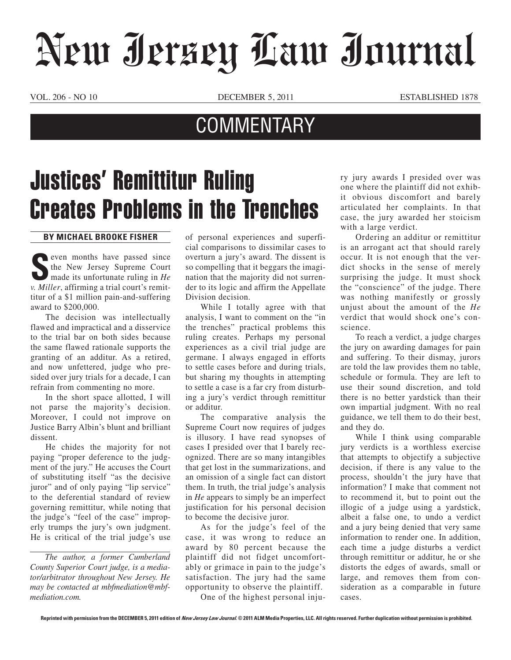## New Jersey Law Journal

VOL. 206 - NO 10 **DECEMBER 5, 2011** ESTABLISHED 1878

## **COMMENTARY**

## Justices' Remittitur Ruling Creates Problems in the Trenches

## **By Michael Brooke Fisher**

Seven months have passed since<br>the New Jersey Supreme Court<br>made its unfortunate ruling in *He*<br>and *Millan official court's remit* even months have passed since<br>the New Jersey Supreme Court *v. Miller*, affirming a trial court's remittitur of a \$1 million pain-and-suffering award to \$200,000.

The decision was intellectually flawed and impractical and a disservice to the trial bar on both sides because the same flawed rationale supports the granting of an additur. As a retired, and now unfettered, judge who presided over jury trials for a decade, I can refrain from commenting no more.

In the short space allotted, I will not parse the majority's decision. Moreover, I could not improve on Justice Barry Albin's blunt and brilliant dissent.

He chides the majority for not paying "proper deference to the judgment of the jury." He accuses the Court of substituting itself "as the decisive juror" and of only paying "lip service" to the deferential standard of review governing remittitur, while noting that the judge's "feel of the case" improperly trumps the jury's own judgment. He is critical of the trial judge's use

*The author, a former Cumberland County Superior Court judge, is a mediator/arbitrator throughout New Jersey. He may be contacted at mbfmediation@mbfmediation.com.*

of personal experiences and superficial comparisons to dissimilar cases to overturn a jury's award. The dissent is so compelling that it beggars the imagination that the majority did not surrender to its logic and affirm the Appellate Division decision.

While I totally agree with that analysis, I want to comment on the "in the trenches" practical problems this ruling creates. Perhaps my personal experiences as a civil trial judge are germane. I always engaged in efforts to settle cases before and during trials, but sharing my thoughts in attempting to settle a case is a far cry from disturbing a jury's verdict through remittitur or additur.

The comparative analysis the Supreme Court now requires of judges is illusory. I have read synopses of cases I presided over that I barely recognized. There are so many intangibles that get lost in the summarizations, and an omission of a single fact can distort them. In truth, the trial judge's analysis in *He* appears to simply be an imperfect justification for his personal decision to become the decisive juror.

As for the judge's feel of the case, it was wrong to reduce an award by 80 percent because the plaintiff did not fidget uncomfortably or grimace in pain to the judge's satisfaction. The jury had the same opportunity to observe the plaintiff.

One of the highest personal inju-

ry jury awards I presided over was one where the plaintiff did not exhibit obvious discomfort and barely articulated her complaints. In that case, the jury awarded her stoicism with a large verdict.

Ordering an additur or remittitur is an arrogant act that should rarely occur. It is not enough that the verdict shocks in the sense of merely surprising the judge. It must shock the "conscience" of the judge. There was nothing manifestly or grossly unjust about the amount of the *He* verdict that would shock one's conscience.

To reach a verdict, a judge charges the jury on awarding damages for pain and suffering. To their dismay, jurors are told the law provides them no table, schedule or formula. They are left to use their sound discretion, and told there is no better yardstick than their own impartial judgment. With no real guidance, we tell them to do their best, and they do.

While I think using comparable jury verdicts is a worthless exercise that attempts to objectify a subjective decision, if there is any value to the process, shouldn't the jury have that information? I make that comment not to recommend it, but to point out the illogic of a judge using a yardstick, albeit a false one, to undo a verdict and a jury being denied that very same information to render one. In addition, each time a judge disturbs a verdict through remittitur or additur, he or she distorts the edges of awards, small or large, and removes them from consideration as a comparable in future cases.